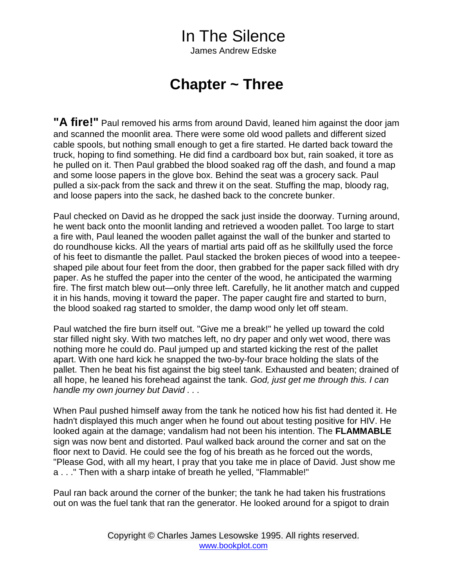James Andrew Edske

#### **Chapter ~ Three**

**"A fire!"** Paul removed his arms from around David, leaned him against the door jam and scanned the moonlit area. There were some old wood pallets and different sized cable spools, but nothing small enough to get a fire started. He darted back toward the truck, hoping to find something. He did find a cardboard box but, rain soaked, it tore as he pulled on it. Then Paul grabbed the blood soaked rag off the dash, and found a map and some loose papers in the glove box. Behind the seat was a grocery sack. Paul pulled a six-pack from the sack and threw it on the seat. Stuffing the map, bloody rag, and loose papers into the sack, he dashed back to the concrete bunker.

Paul checked on David as he dropped the sack just inside the doorway. Turning around, he went back onto the moonlit landing and retrieved a wooden pallet. Too large to start a fire with, Paul leaned the wooden pallet against the wall of the bunker and started to do roundhouse kicks. All the years of martial arts paid off as he skillfully used the force of his feet to dismantle the pallet. Paul stacked the broken pieces of wood into a teepeeshaped pile about four feet from the door, then grabbed for the paper sack filled with dry paper. As he stuffed the paper into the center of the wood, he anticipated the warming fire. The first match blew out—only three left. Carefully, he lit another match and cupped it in his hands, moving it toward the paper. The paper caught fire and started to burn, the blood soaked rag started to smolder, the damp wood only let off steam.

Paul watched the fire burn itself out. "Give me a break!" he yelled up toward the cold star filled night sky. With two matches left, no dry paper and only wet wood, there was nothing more he could do. Paul jumped up and started kicking the rest of the pallet apart. With one hard kick he snapped the two-by-four brace holding the slats of the pallet. Then he beat his fist against the big steel tank. Exhausted and beaten; drained of all hope, he leaned his forehead against the tank. *God, just get me through this. I can handle my own journey but David . . .* 

When Paul pushed himself away from the tank he noticed how his fist had dented it. He hadn't displayed this much anger when he found out about testing positive for HIV. He looked again at the damage; vandalism had not been his intention. The **FLAMMABLE** sign was now bent and distorted. Paul walked back around the corner and sat on the floor next to David. He could see the fog of his breath as he forced out the words, "Please God, with all my heart, I pray that you take me in place of David. Just show me a . . ." Then with a sharp intake of breath he yelled, "Flammable!"

Paul ran back around the corner of the bunker; the tank he had taken his frustrations out on was the fuel tank that ran the generator. He looked around for a spigot to drain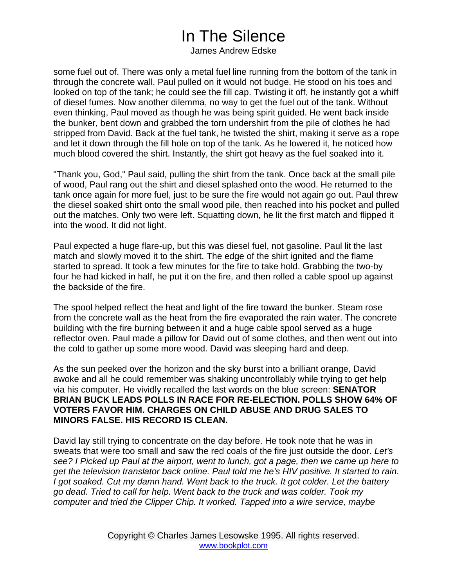James Andrew Edske

some fuel out of. There was only a metal fuel line running from the bottom of the tank in through the concrete wall. Paul pulled on it would not budge. He stood on his toes and looked on top of the tank; he could see the fill cap. Twisting it off, he instantly got a whiff of diesel fumes. Now another dilemma, no way to get the fuel out of the tank. Without even thinking, Paul moved as though he was being spirit guided. He went back inside the bunker, bent down and grabbed the torn undershirt from the pile of clothes he had stripped from David. Back at the fuel tank, he twisted the shirt, making it serve as a rope and let it down through the fill hole on top of the tank. As he lowered it, he noticed how much blood covered the shirt. Instantly, the shirt got heavy as the fuel soaked into it.

"Thank you, God," Paul said, pulling the shirt from the tank. Once back at the small pile of wood, Paul rang out the shirt and diesel splashed onto the wood. He returned to the tank once again for more fuel, just to be sure the fire would not again go out. Paul threw the diesel soaked shirt onto the small wood pile, then reached into his pocket and pulled out the matches. Only two were left. Squatting down, he lit the first match and flipped it into the wood. It did not light.

Paul expected a huge flare-up, but this was diesel fuel, not gasoline. Paul lit the last match and slowly moved it to the shirt. The edge of the shirt ignited and the flame started to spread. It took a few minutes for the fire to take hold. Grabbing the two-by four he had kicked in half, he put it on the fire, and then rolled a cable spool up against the backside of the fire.

The spool helped reflect the heat and light of the fire toward the bunker. Steam rose from the concrete wall as the heat from the fire evaporated the rain water. The concrete building with the fire burning between it and a huge cable spool served as a huge reflector oven. Paul made a pillow for David out of some clothes, and then went out into the cold to gather up some more wood. David was sleeping hard and deep.

As the sun peeked over the horizon and the sky burst into a brilliant orange, David awoke and all he could remember was shaking uncontrollably while trying to get help via his computer. He vividly recalled the last words on the blue screen: **SENATOR BRIAN BUCK LEADS POLLS IN RACE FOR RE-ELECTION. POLLS SHOW 64% OF VOTERS FAVOR HIM. CHARGES ON CHILD ABUSE AND DRUG SALES TO MINORS FALSE. HIS RECORD IS CLEAN.** 

David lay still trying to concentrate on the day before. He took note that he was in sweats that were too small and saw the red coals of the fire just outside the door. *Let's see? I Picked up Paul at the airport, went to lunch, got a page, then we came up here to get the television translator back online. Paul told me he's HIV positive. It started to rain. I got soaked. Cut my damn hand. Went back to the truck. It got colder. Let the battery go dead. Tried to call for help. Went back to the truck and was colder. Took my computer and tried the Clipper Chip. It worked. Tapped into a wire service, maybe*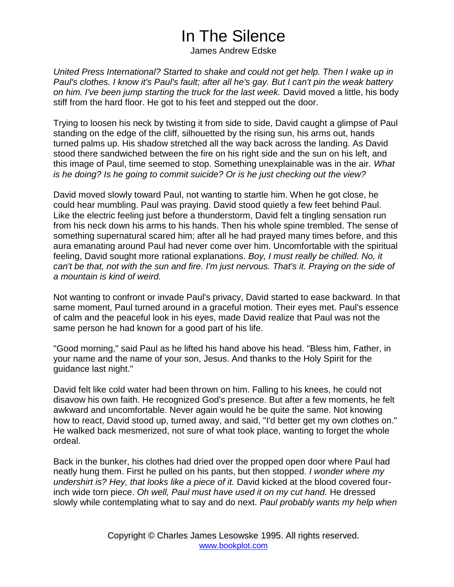James Andrew Edske

*United Press International? Started to shake and could not get help. Then I wake up in Paul's clothes. I know it's Paul's fault; after all he's gay. But I can't pin the weak battery on him. I've been jump starting the truck for the last week.* David moved a little, his body stiff from the hard floor. He got to his feet and stepped out the door.

Trying to loosen his neck by twisting it from side to side, David caught a glimpse of Paul standing on the edge of the cliff, silhouetted by the rising sun, his arms out, hands turned palms up. His shadow stretched all the way back across the landing. As David stood there sandwiched between the fire on his right side and the sun on his left, and this image of Paul, time seemed to stop. Something unexplainable was in the air. *What is he doing? Is he going to commit suicide? Or is he just checking out the view?*

David moved slowly toward Paul, not wanting to startle him. When he got close, he could hear mumbling. Paul was praying. David stood quietly a few feet behind Paul. Like the electric feeling just before a thunderstorm, David felt a tingling sensation run from his neck down his arms to his hands. Then his whole spine trembled. The sense of something supernatural scared him; after all he had prayed many times before, and this aura emanating around Paul had never come over him. Uncomfortable with the spiritual feeling, David sought more rational explanations. *Boy, I must really be chilled. No, it can't be that, not with the sun and fire. I'm just nervous. That's it. Praying on the side of a mountain is kind of weird.* 

Not wanting to confront or invade Paul's privacy, David started to ease backward. In that same moment, Paul turned around in a graceful motion. Their eyes met. Paul's essence of calm and the peaceful look in his eyes, made David realize that Paul was not the same person he had known for a good part of his life.

"Good morning," said Paul as he lifted his hand above his head. "Bless him, Father, in your name and the name of your son, Jesus. And thanks to the Holy Spirit for the guidance last night."

David felt like cold water had been thrown on him. Falling to his knees, he could not disavow his own faith. He recognized God's presence. But after a few moments, he felt awkward and uncomfortable. Never again would he be quite the same. Not knowing how to react, David stood up, turned away, and said, "I'd better get my own clothes on." He walked back mesmerized, not sure of what took place, wanting to forget the whole ordeal.

Back in the bunker, his clothes had dried over the propped open door where Paul had neatly hung them. First he pulled on his pants, but then stopped. *I wonder where my undershirt is? Hey, that looks like a piece of it.* David kicked at the blood covered fourinch wide torn piece. *Oh well, Paul must have used it on my cut hand.* He dressed slowly while contemplating what to say and do next. *Paul probably wants my help when*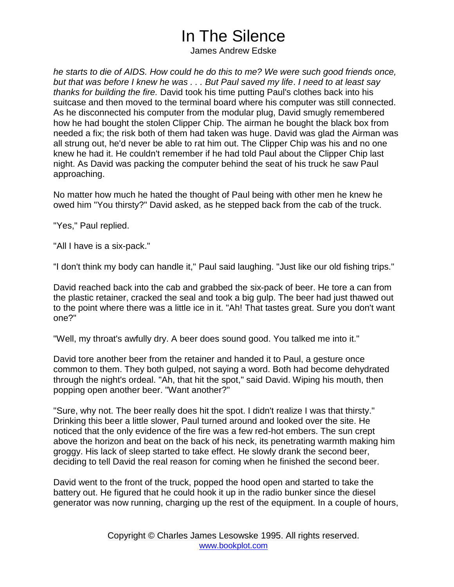James Andrew Edske

*he starts to die of AIDS. How could he do this to me? We were such good friends once, but that was before I knew he was . . . But Paul saved my life*. *I need to at least say thanks for building the fire.* David took his time putting Paul's clothes back into his suitcase and then moved to the terminal board where his computer was still connected. As he disconnected his computer from the modular plug, David smugly remembered how he had bought the stolen Clipper Chip. The airman he bought the black box from needed a fix; the risk both of them had taken was huge. David was glad the Airman was all strung out, he'd never be able to rat him out. The Clipper Chip was his and no one knew he had it. He couldn't remember if he had told Paul about the Clipper Chip last night. As David was packing the computer behind the seat of his truck he saw Paul approaching.

No matter how much he hated the thought of Paul being with other men he knew he owed him "You thirsty?" David asked, as he stepped back from the cab of the truck.

"Yes," Paul replied.

"All I have is a six-pack."

"I don't think my body can handle it," Paul said laughing. "Just like our old fishing trips."

David reached back into the cab and grabbed the six-pack of beer. He tore a can from the plastic retainer, cracked the seal and took a big gulp. The beer had just thawed out to the point where there was a little ice in it. "Ah! That tastes great. Sure you don't want one?"

"Well, my throat's awfully dry. A beer does sound good. You talked me into it."

David tore another beer from the retainer and handed it to Paul, a gesture once common to them. They both gulped, not saying a word. Both had become dehydrated through the night's ordeal. "Ah, that hit the spot," said David. Wiping his mouth, then popping open another beer. "Want another?"

"Sure, why not. The beer really does hit the spot. I didn't realize I was that thirsty." Drinking this beer a little slower, Paul turned around and looked over the site. He noticed that the only evidence of the fire was a few red-hot embers. The sun crept above the horizon and beat on the back of his neck, its penetrating warmth making him groggy. His lack of sleep started to take effect. He slowly drank the second beer, deciding to tell David the real reason for coming when he finished the second beer.

David went to the front of the truck, popped the hood open and started to take the battery out. He figured that he could hook it up in the radio bunker since the diesel generator was now running, charging up the rest of the equipment. In a couple of hours,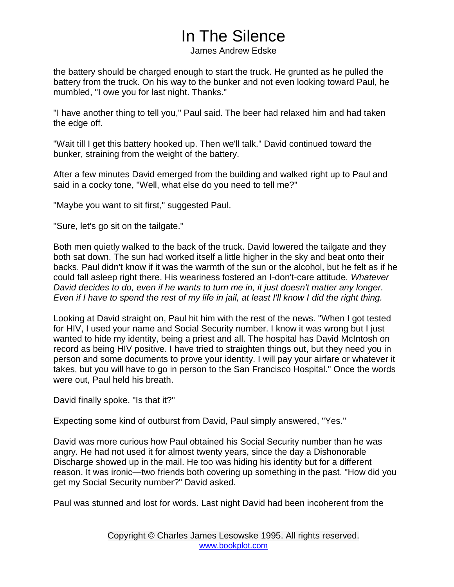James Andrew Edske

the battery should be charged enough to start the truck. He grunted as he pulled the battery from the truck. On his way to the bunker and not even looking toward Paul, he mumbled, "I owe you for last night. Thanks."

"I have another thing to tell you," Paul said. The beer had relaxed him and had taken the edge off.

"Wait till I get this battery hooked up. Then we'll talk." David continued toward the bunker, straining from the weight of the battery.

After a few minutes David emerged from the building and walked right up to Paul and said in a cocky tone, "Well, what else do you need to tell me?"

"Maybe you want to sit first," suggested Paul.

"Sure, let's go sit on the tailgate."

Both men quietly walked to the back of the truck. David lowered the tailgate and they both sat down. The sun had worked itself a little higher in the sky and beat onto their backs. Paul didn't know if it was the warmth of the sun or the alcohol, but he felt as if he could fall asleep right there. His weariness fostered an I-don't-care attitude*. Whatever David decides to do, even if he wants to turn me in, it just doesn't matter any longer. Even if I have to spend the rest of my life in jail, at least I'll know I did the right thing.*

Looking at David straight on, Paul hit him with the rest of the news. "When I got tested for HIV, I used your name and Social Security number. I know it was wrong but I just wanted to hide my identity, being a priest and all. The hospital has David McIntosh on record as being HIV positive. I have tried to straighten things out, but they need you in person and some documents to prove your identity. I will pay your airfare or whatever it takes, but you will have to go in person to the San Francisco Hospital." Once the words were out, Paul held his breath.

David finally spoke. "Is that it?"

Expecting some kind of outburst from David, Paul simply answered, "Yes."

David was more curious how Paul obtained his Social Security number than he was angry. He had not used it for almost twenty years, since the day a Dishonorable Discharge showed up in the mail. He too was hiding his identity but for a different reason. It was ironic—two friends both covering up something in the past. "How did you get my Social Security number?" David asked.

Paul was stunned and lost for words. Last night David had been incoherent from the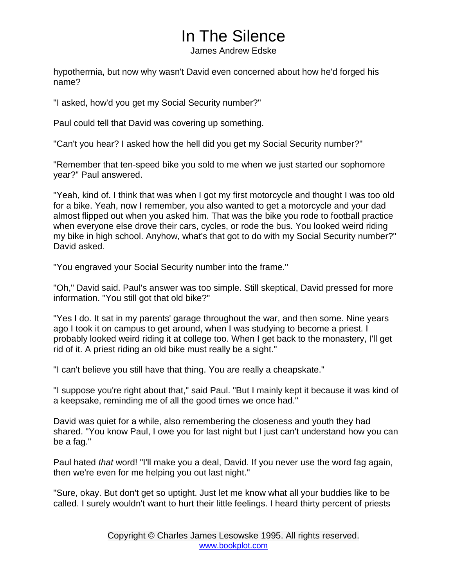James Andrew Edske

hypothermia, but now why wasn't David even concerned about how he'd forged his name?

"I asked, how'd you get my Social Security number?"

Paul could tell that David was covering up something.

"Can't you hear? I asked how the hell did you get my Social Security number?"

"Remember that ten-speed bike you sold to me when we just started our sophomore year?" Paul answered.

"Yeah, kind of. I think that was when I got my first motorcycle and thought I was too old for a bike. Yeah, now I remember, you also wanted to get a motorcycle and your dad almost flipped out when you asked him. That was the bike you rode to football practice when everyone else drove their cars, cycles, or rode the bus. You looked weird riding my bike in high school. Anyhow, what's that got to do with my Social Security number?" David asked.

"You engraved your Social Security number into the frame."

"Oh," David said. Paul's answer was too simple. Still skeptical, David pressed for more information. "You still got that old bike?"

"Yes I do. It sat in my parents' garage throughout the war, and then some. Nine years ago I took it on campus to get around, when I was studying to become a priest. I probably looked weird riding it at college too. When I get back to the monastery, I'll get rid of it. A priest riding an old bike must really be a sight."

"I can't believe you still have that thing. You are really a cheapskate."

"I suppose you're right about that," said Paul. "But I mainly kept it because it was kind of a keepsake, reminding me of all the good times we once had."

David was quiet for a while, also remembering the closeness and youth they had shared. "You know Paul, I owe you for last night but I just can't understand how you can be a fag."

Paul hated *that* word! "I'll make you a deal, David. If you never use the word fag again, then we're even for me helping you out last night."

"Sure, okay. But don't get so uptight. Just let me know what all your buddies like to be called. I surely wouldn't want to hurt their little feelings. I heard thirty percent of priests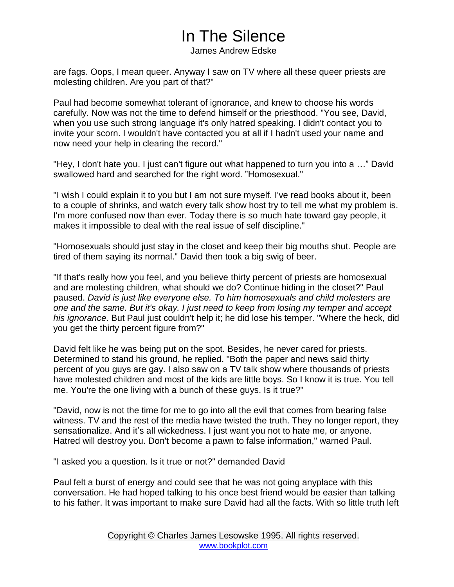James Andrew Edske

are fags. Oops, I mean queer. Anyway I saw on TV where all these queer priests are molesting children. Are you part of that?"

Paul had become somewhat tolerant of ignorance, and knew to choose his words carefully. Now was not the time to defend himself or the priesthood. "You see, David, when you use such strong language it's only hatred speaking. I didn't contact you to invite your scorn. I wouldn't have contacted you at all if I hadn't used your name and now need your help in clearing the record."

"Hey, I don't hate you. I just can't figure out what happened to turn you into a …" David swallowed hard and searched for the right word. "Homosexual."

"I wish I could explain it to you but I am not sure myself. I've read books about it, been to a couple of shrinks, and watch every talk show host try to tell me what my problem is. I'm more confused now than ever. Today there is so much hate toward gay people, it makes it impossible to deal with the real issue of self discipline."

"Homosexuals should just stay in the closet and keep their big mouths shut. People are tired of them saying its normal." David then took a big swig of beer.

"If that's really how you feel, and you believe thirty percent of priests are homosexual and are molesting children, what should we do? Continue hiding in the closet?" Paul paused. *David is just like everyone else. To him homosexuals and child molesters are one and the same. But it's okay. I just need to keep from losing my temper and accept his ignorance*. But Paul just couldn't help it; he did lose his temper. "Where the heck, did you get the thirty percent figure from?"

David felt like he was being put on the spot. Besides, he never cared for priests. Determined to stand his ground, he replied. "Both the paper and news said thirty percent of you guys are gay. I also saw on a TV talk show where thousands of priests have molested children and most of the kids are little boys. So I know it is true. You tell me. You're the one living with a bunch of these guys. Is it true?"

"David, now is not the time for me to go into all the evil that comes from bearing false witness. TV and the rest of the media have twisted the truth. They no longer report, they sensationalize. And it's all wickedness. I just want you not to hate me, or anyone. Hatred will destroy you. Don't become a pawn to false information," warned Paul.

"I asked you a question. Is it true or not?" demanded David

Paul felt a burst of energy and could see that he was not going anyplace with this conversation. He had hoped talking to his once best friend would be easier than talking to his father. It was important to make sure David had all the facts. With so little truth left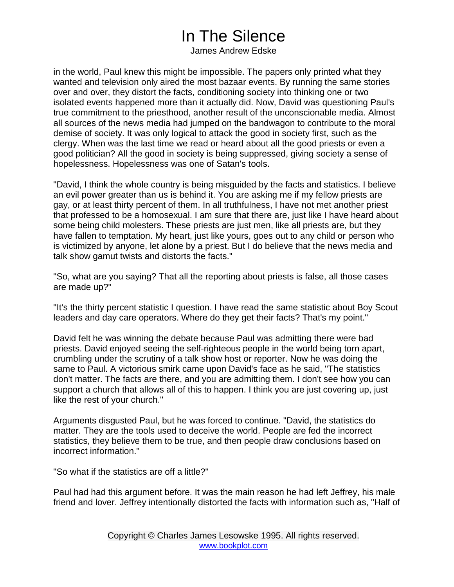James Andrew Edske

in the world, Paul knew this might be impossible. The papers only printed what they wanted and television only aired the most bazaar events. By running the same stories over and over, they distort the facts, conditioning society into thinking one or two isolated events happened more than it actually did. Now, David was questioning Paul's true commitment to the priesthood, another result of the unconscionable media. Almost all sources of the news media had jumped on the bandwagon to contribute to the moral demise of society. It was only logical to attack the good in society first, such as the clergy. When was the last time we read or heard about all the good priests or even a good politician? All the good in society is being suppressed, giving society a sense of hopelessness. Hopelessness was one of Satan's tools.

"David, I think the whole country is being misguided by the facts and statistics. I believe an evil power greater than us is behind it. You are asking me if my fellow priests are gay, or at least thirty percent of them. In all truthfulness, I have not met another priest that professed to be a homosexual. I am sure that there are, just like I have heard about some being child molesters. These priests are just men, like all priests are, but they have fallen to temptation. My heart, just like yours, goes out to any child or person who is victimized by anyone, let alone by a priest. But I do believe that the news media and talk show gamut twists and distorts the facts."

"So, what are you saying? That all the reporting about priests is false, all those cases are made up?"

"It's the thirty percent statistic I question. I have read the same statistic about Boy Scout leaders and day care operators. Where do they get their facts? That's my point."

David felt he was winning the debate because Paul was admitting there were bad priests. David enjoyed seeing the self-righteous people in the world being torn apart, crumbling under the scrutiny of a talk show host or reporter. Now he was doing the same to Paul. A victorious smirk came upon David's face as he said, "The statistics don't matter. The facts are there, and you are admitting them. I don't see how you can support a church that allows all of this to happen. I think you are just covering up, just like the rest of your church."

Arguments disgusted Paul, but he was forced to continue. "David, the statistics do matter. They are the tools used to deceive the world. People are fed the incorrect statistics, they believe them to be true, and then people draw conclusions based on incorrect information."

"So what if the statistics are off a little?"

Paul had had this argument before. It was the main reason he had left Jeffrey, his male friend and lover. Jeffrey intentionally distorted the facts with information such as, "Half of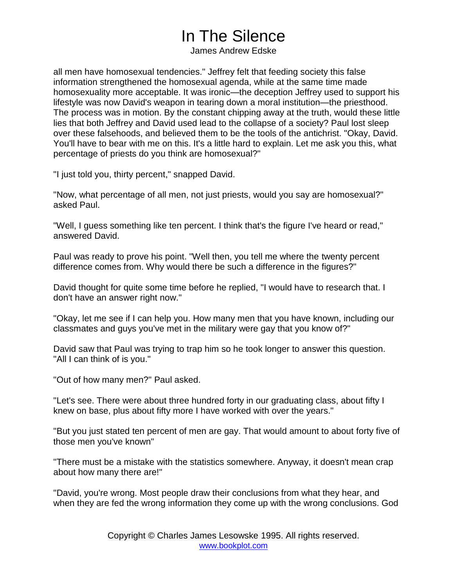James Andrew Edske

all men have homosexual tendencies." Jeffrey felt that feeding society this false information strengthened the homosexual agenda, while at the same time made homosexuality more acceptable. It was ironic—the deception Jeffrey used to support his lifestyle was now David's weapon in tearing down a moral institution—the priesthood. The process was in motion. By the constant chipping away at the truth, would these little lies that both Jeffrey and David used lead to the collapse of a society? Paul lost sleep over these falsehoods, and believed them to be the tools of the antichrist. "Okay, David. You'll have to bear with me on this. It's a little hard to explain. Let me ask you this, what percentage of priests do you think are homosexual?"

"I just told you, thirty percent," snapped David.

"Now, what percentage of all men, not just priests, would you say are homosexual?" asked Paul.

"Well, I guess something like ten percent. I think that's the figure I've heard or read," answered David.

Paul was ready to prove his point. "Well then, you tell me where the twenty percent difference comes from. Why would there be such a difference in the figures?"

David thought for quite some time before he replied, "I would have to research that. I don't have an answer right now."

"Okay, let me see if I can help you. How many men that you have known, including our classmates and guys you've met in the military were gay that you know of?"

David saw that Paul was trying to trap him so he took longer to answer this question. "All I can think of is you."

"Out of how many men?" Paul asked.

"Let's see. There were about three hundred forty in our graduating class, about fifty I knew on base, plus about fifty more I have worked with over the years."

"But you just stated ten percent of men are gay. That would amount to about forty five of those men you've known"

"There must be a mistake with the statistics somewhere. Anyway, it doesn't mean crap about how many there are!"

"David, you're wrong. Most people draw their conclusions from what they hear, and when they are fed the wrong information they come up with the wrong conclusions. God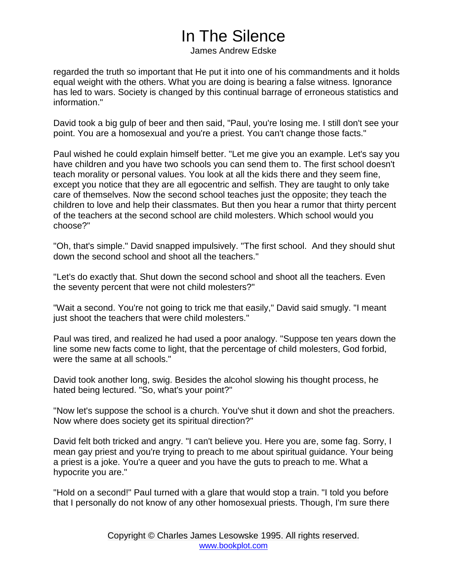James Andrew Edske

regarded the truth so important that He put it into one of his commandments and it holds equal weight with the others. What you are doing is bearing a false witness. Ignorance has led to wars. Society is changed by this continual barrage of erroneous statistics and information."

David took a big gulp of beer and then said, "Paul, you're losing me. I still don't see your point. You are a homosexual and you're a priest. You can't change those facts."

Paul wished he could explain himself better. "Let me give you an example. Let's say you have children and you have two schools you can send them to. The first school doesn't teach morality or personal values. You look at all the kids there and they seem fine, except you notice that they are all egocentric and selfish. They are taught to only take care of themselves. Now the second school teaches just the opposite; they teach the children to love and help their classmates. But then you hear a rumor that thirty percent of the teachers at the second school are child molesters. Which school would you choose?"

"Oh, that's simple." David snapped impulsively. "The first school. And they should shut down the second school and shoot all the teachers."

"Let's do exactly that. Shut down the second school and shoot all the teachers. Even the seventy percent that were not child molesters?"

"Wait a second. You're not going to trick me that easily," David said smugly. "I meant just shoot the teachers that were child molesters."

Paul was tired, and realized he had used a poor analogy. "Suppose ten years down the line some new facts come to light, that the percentage of child molesters, God forbid, were the same at all schools."

David took another long, swig. Besides the alcohol slowing his thought process, he hated being lectured. "So, what's your point?"

"Now let's suppose the school is a church. You've shut it down and shot the preachers. Now where does society get its spiritual direction?"

David felt both tricked and angry. "I can't believe you. Here you are, some fag. Sorry, I mean gay priest and you're trying to preach to me about spiritual guidance. Your being a priest is a joke. You're a queer and you have the guts to preach to me. What a hypocrite you are."

"Hold on a second!" Paul turned with a glare that would stop a train. "I told you before that I personally do not know of any other homosexual priests. Though, I'm sure there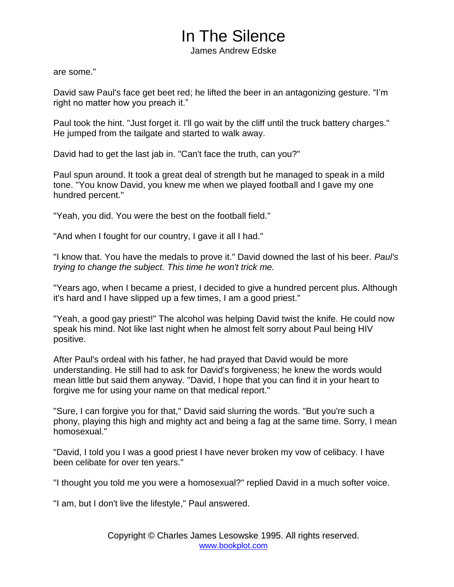James Andrew Edske

are some."

David saw Paul's face get beet red; he lifted the beer in an antagonizing gesture. "I'm right no matter how you preach it."

Paul took the hint. "Just forget it. I'll go wait by the cliff until the truck battery charges." He jumped from the tailgate and started to walk away.

David had to get the last jab in. "Can't face the truth, can you?"

Paul spun around. It took a great deal of strength but he managed to speak in a mild tone. "You know David, you knew me when we played football and I gave my one hundred percent."

"Yeah, you did. You were the best on the football field."

"And when I fought for our country, I gave it all I had."

"I know that. You have the medals to prove it." David downed the last of his beer. *Paul's trying to change the subject. This time he won't trick me.*

"Years ago, when I became a priest, I decided to give a hundred percent plus. Although it's hard and I have slipped up a few times, I am a good priest."

"Yeah, a good gay priest!" The alcohol was helping David twist the knife. He could now speak his mind. Not like last night when he almost felt sorry about Paul being HIV positive.

After Paul's ordeal with his father, he had prayed that David would be more understanding. He still had to ask for David's forgiveness; he knew the words would mean little but said them anyway. "David, I hope that you can find it in your heart to forgive me for using your name on that medical report."

"Sure, I can forgive you for that," David said slurring the words. "But you're such a phony, playing this high and mighty act and being a fag at the same time. Sorry, I mean homosexual."

"David, I told you I was a good priest I have never broken my vow of celibacy. I have been celibate for over ten years."

"I thought you told me you were a homosexual?" replied David in a much softer voice.

"I am, but I don't live the lifestyle," Paul answered.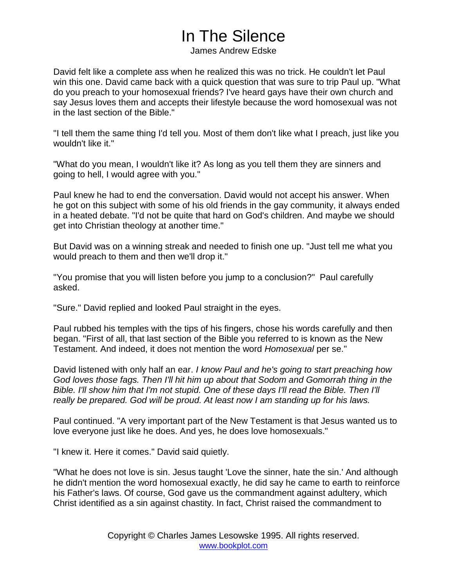James Andrew Edske

David felt like a complete ass when he realized this was no trick. He couldn't let Paul win this one. David came back with a quick question that was sure to trip Paul up. "What do you preach to your homosexual friends? I've heard gays have their own church and say Jesus loves them and accepts their lifestyle because the word homosexual was not in the last section of the Bible."

"I tell them the same thing I'd tell you. Most of them don't like what I preach, just like you wouldn't like it."

"What do you mean, I wouldn't like it? As long as you tell them they are sinners and going to hell, I would agree with you."

Paul knew he had to end the conversation. David would not accept his answer. When he got on this subject with some of his old friends in the gay community, it always ended in a heated debate. "I'd not be quite that hard on God's children. And maybe we should get into Christian theology at another time."

But David was on a winning streak and needed to finish one up. "Just tell me what you would preach to them and then we'll drop it."

"You promise that you will listen before you jump to a conclusion?" Paul carefully asked.

"Sure." David replied and looked Paul straight in the eyes.

Paul rubbed his temples with the tips of his fingers, chose his words carefully and then began. "First of all, that last section of the Bible you referred to is known as the New Testament. And indeed, it does not mention the word *Homosexual* per se."

David listened with only half an ear. *I know Paul and he's going to start preaching how God loves those fags. Then I'll hit him up about that Sodom and Gomorrah thing in the Bible. I'll show him that I'm not stupid. One of these days I'll read the Bible. Then I'll really be prepared. God will be proud. At least now I am standing up for his laws.*

Paul continued. "A very important part of the New Testament is that Jesus wanted us to love everyone just like he does. And yes, he does love homosexuals."

"I knew it. Here it comes." David said quietly.

"What he does not love is sin. Jesus taught 'Love the sinner, hate the sin.' And although he didn't mention the word homosexual exactly, he did say he came to earth to reinforce his Father's laws. Of course, God gave us the commandment against adultery, which Christ identified as a sin against chastity. In fact, Christ raised the commandment to